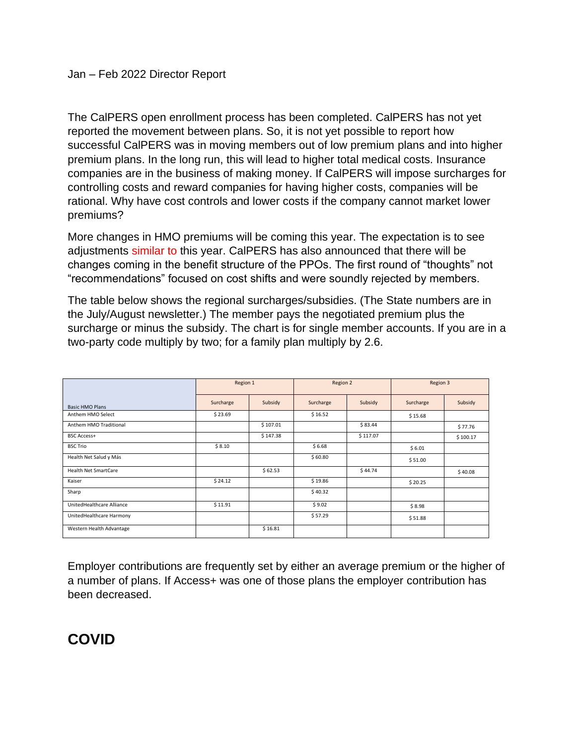The CalPERS open enrollment process has been completed. CalPERS has not yet reported the movement between plans. So, it is not yet possible to report how successful CalPERS was in moving members out of low premium plans and into higher premium plans. In the long run, this will lead to higher total medical costs. Insurance companies are in the business of making money. If CalPERS will impose surcharges for controlling costs and reward companies for having higher costs, companies will be rational. Why have cost controls and lower costs if the company cannot market lower premiums?

More changes in HMO premiums will be coming this year. The expectation is to see adjustments similar to this year. CalPERS has also announced that there will be changes coming in the benefit structure of the PPOs. The first round of "thoughts" not "recommendations" focused on cost shifts and were soundly rejected by members.

The table below shows the regional surcharges/subsidies. (The State numbers are in the July/August newsletter.) The member pays the negotiated premium plus the surcharge or minus the subsidy. The chart is for single member accounts. If you are in a two-party code multiply by two; for a family plan multiply by 2.6.

|                             | Region 1  |          | Region 2  |          | Region 3  |          |
|-----------------------------|-----------|----------|-----------|----------|-----------|----------|
| Basic HMO Plans             | Surcharge | Subsidy  | Surcharge | Subsidy  | Surcharge | Subsidy  |
| Anthem HMO Select           | \$23.69   |          | \$16.52   |          | \$15.68   |          |
| Anthem HMO Traditional      |           | \$107.01 |           | \$83.44  |           | \$77.76  |
| <b>BSC Access+</b>          |           | \$147.38 |           | \$117.07 |           | \$100.17 |
| <b>BSC Trio</b>             | \$8.10    |          | \$6.68    |          | \$6.01    |          |
| Health Net Salud y Más      |           |          | \$60.80   |          | \$51.00   |          |
| <b>Health Net SmartCare</b> |           | \$62.53  |           | \$44.74  |           | \$40.08  |
| Kaiser                      | \$24.12   |          | \$19.86   |          | \$20.25   |          |
| Sharp                       |           |          | \$40.32   |          |           |          |
| UnitedHealthcare Alliance   | \$11.91   |          | \$9.02    |          | \$8.98    |          |
| UnitedHealthcare Harmony    |           |          | \$57.29   |          | \$51.88   |          |
| Western Health Advantage    |           | \$16.81  |           |          |           |          |

Employer contributions are frequently set by either an average premium or the higher of a number of plans. If Access+ was one of those plans the employer contribution has been decreased.

## **COVID**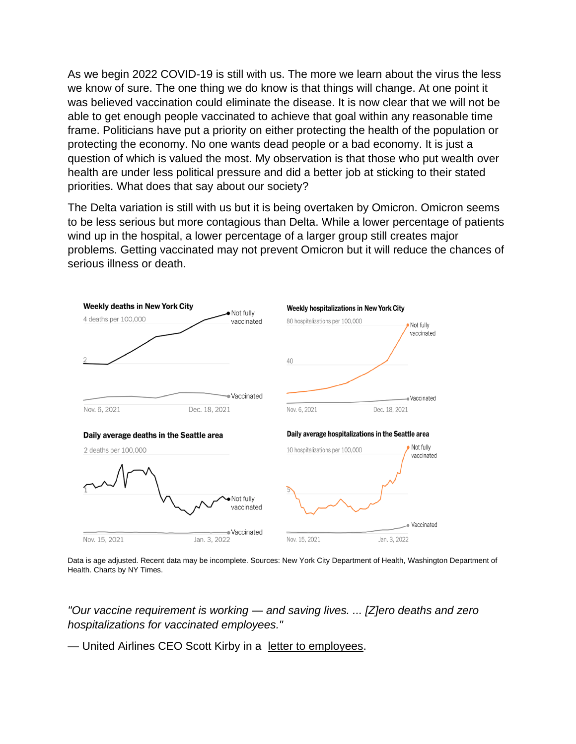As we begin 2022 COVID-19 is still with us. The more we learn about the virus the less we know of sure. The one thing we do know is that things will change. At one point it was believed vaccination could eliminate the disease. It is now clear that we will not be able to get enough people vaccinated to achieve that goal within any reasonable time frame. Politicians have put a priority on either protecting the health of the population or protecting the economy. No one wants dead people or a bad economy. It is just a question of which is valued the most. My observation is that those who put wealth over health are under less political pressure and did a better job at sticking to their stated priorities. What does that say about our society?

The Delta variation is still with us but it is being overtaken by Omicron. Omicron seems to be less serious but more contagious than Delta. While a lower percentage of patients wind up in the hospital, a lower percentage of a larger group still creates major problems. Getting vaccinated may not prevent Omicron but it will reduce the chances of serious illness or death.



Data is age adjusted. Recent data may be incomplete. Sources: New York City Department of Health, Washington Department of Health. Charts by NY Times.

*"Our vaccine requirement is working — and saving lives. ... [Z]ero deaths and zero hospitalizations for vaccinated employees."*

— United Airlines CEO Scott Kirby in a [letter to employees.](https://www.united.com/en/us/newsroom/announcements/scott-kirby-employee-note)